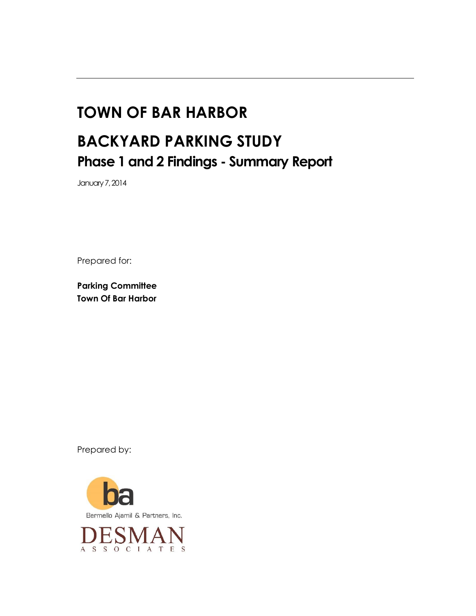# **TOWN OF BAR HARBOR BACKYARD PARKING STUDY Phase 1 and 2 Findings - Summary Report**

January 7, 2014

Prepared for:

**Parking Committee Town Of Bar Harbor**

Prepared by:



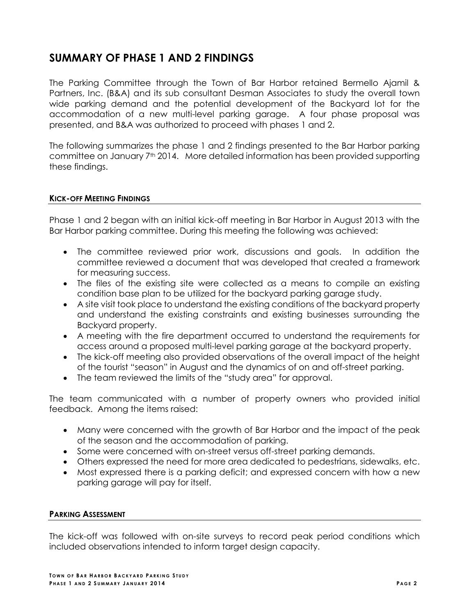# **SUMMARY OF PHASE 1 AND 2 FINDINGS**

The Parking Committee through the Town of Bar Harbor retained Bermello Ajamil & Partners, Inc. (B&A) and its sub consultant Desman Associates to study the overall town wide parking demand and the potential development of the Backyard lot for the accommodation of a new multi-level parking garage. A four phase proposal was presented, and B&A was authorized to proceed with phases 1 and 2.

The following summarizes the phase 1 and 2 findings presented to the Bar Harbor parking committee on January 7th 2014. More detailed information has been provided supporting these findings.

#### **KICK-OFF MEETING FINDINGS**

Phase 1 and 2 began with an initial kick-off meeting in Bar Harbor in August 2013 with the Bar Harbor parking committee. During this meeting the following was achieved:

- The committee reviewed prior work, discussions and goals. In addition the committee reviewed a document that was developed that created a framework for measuring success.
- The files of the existing site were collected as a means to compile an existing condition base plan to be utilized for the backyard parking garage study.
- A site visit took place to understand the existing conditions of the backyard property and understand the existing constraints and existing businesses surrounding the Backyard property.
- A meeting with the fire department occurred to understand the requirements for access around a proposed multi-level parking garage at the backyard property.
- The kick-off meeting also provided observations of the overall impact of the height of the tourist "season" in August and the dynamics of on and off-street parking.
- The team reviewed the limits of the "study area" for approval.

The team communicated with a number of property owners who provided initial feedback. Among the items raised:

- Many were concerned with the growth of Bar Harbor and the impact of the peak of the season and the accommodation of parking.
- Some were concerned with on-street versus off-street parking demands.
- Others expressed the need for more area dedicated to pedestrians, sidewalks, etc.
- Most expressed there is a parking deficit; and expressed concern with how a new parking garage will pay for itself.

#### **PARKING ASSESSMENT**

The kick-off was followed with on-site surveys to record peak period conditions which included observations intended to inform target design capacity.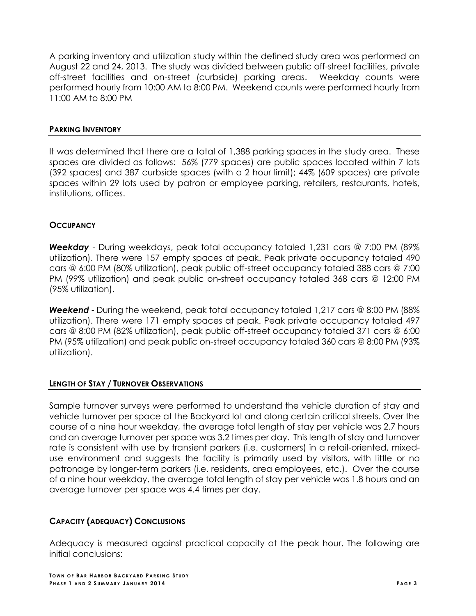A parking inventory and utilization study within the defined study area was performed on August 22 and 24, 2013. The study was divided between public off-street facilities, private off-street facilities and on-street (curbside) parking areas. Weekday counts were performed hourly from 10:00 AM to 8:00 PM. Weekend counts were performed hourly from 11:00 AM to 8:00 PM

#### **PARKING INVENTORY**

It was determined that there are a total of 1,388 parking spaces in the study area. These spaces are divided as follows: 56% (779 spaces) are public spaces located within 7 lots (392 spaces) and 387 curbside spaces (with a 2 hour limit); 44% (609 spaces) are private spaces within 29 lots used by patron or employee parking, retailers, restaurants, hotels, institutions, offices.

#### **OCCUPANCY**

*Weekday* - During weekdays, peak total occupancy totaled 1,231 cars @ 7:00 PM (89% utilization). There were 157 empty spaces at peak. Peak private occupancy totaled 490 cars @ 6:00 PM (80% utilization), peak public off-street occupancy totaled 388 cars @ 7:00 PM (99% utilization) and peak public on-street occupancy totaled 368 cars @ 12:00 PM (95% utilization).

*Weekend* **-** During the weekend, peak total occupancy totaled 1,217 cars @ 8:00 PM (88% utilization). There were 171 empty spaces at peak. Peak private occupancy totaled 497 cars @ 8:00 PM (82% utilization), peak public off-street occupancy totaled 371 cars @ 6:00 PM (95% utilization) and peak public on-street occupancy totaled 360 cars @ 8:00 PM (93% utilization).

# **LENGTH OF STAY / TURNOVER OBSERVATIONS**

Sample turnover surveys were performed to understand the vehicle duration of stay and vehicle turnover per space at the Backyard lot and along certain critical streets. Over the course of a nine hour weekday, the average total length of stay per vehicle was 2.7 hours and an average turnover per space was 3.2 times per day. This length of stay and turnover rate is consistent with use by transient parkers (i.e. customers) in a retail-oriented, mixeduse environment and suggests the facility is primarily used by visitors, with little or no patronage by longer-term parkers (i.e. residents, area employees, etc.). Over the course of a nine hour weekday, the average total length of stay per vehicle was 1.8 hours and an average turnover per space was 4.4 times per day.

# **CAPACITY (ADEQUACY) CONCLUSIONS**

Adequacy is measured against practical capacity at the peak hour. The following are initial conclusions: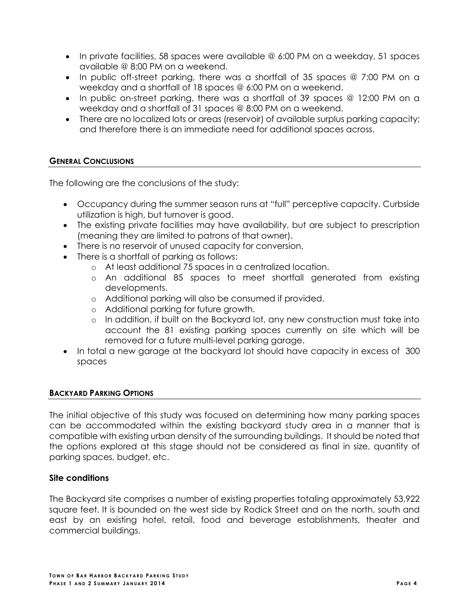- In private facilities, 58 spaces were available @ 6:00 PM on a weekday, 51 spaces available @ 8:00 PM on a weekend.
- In public off-street parking, there was a shortfall of 35 spaces  $@$  7:00 PM on a weekday and a shortfall of 18 spaces @ 6:00 PM on a weekend.
- In public on-street parking, there was a shortfall of 39 spaces @ 12:00 PM on a weekday and a shortfall of 31 spaces @ 8:00 PM on a weekend.
- There are no localized lots or areas (reservoir) of available surplus parking capacity; and therefore there is an immediate need for additional spaces across.

# **GENERAL CONCLUSIONS**

The following are the conclusions of the study:

- Occupancy during the summer season runs at "full" perceptive capacity. Curbside utilization is high, but turnover is good.
- The existing private facilities may have availability, but are subject to prescription (meaning they are limited to patrons of that owner).
- There is no reservoir of unused capacity for conversion.
- There is a shortfall of parking as follows:
	- o At least additional 75 spaces in a centralized location.
	- o An additional 85 spaces to meet shortfall generated from existing developments.
	- o Additional parking will also be consumed if provided.
	- o Additional parking for future growth.
	- o In addition, if built on the Backyard lot, any new construction must take into account the 81 existing parking spaces currently on site which will be removed for a future multi-level parking garage.
- In total a new garage at the backyard lot should have capacity in excess of 300 spaces

# **BACKYARD PARKING OPTIONS**

The initial objective of this study was focused on determining how many parking spaces can be accommodated within the existing backyard study area in a manner that is compatible with existing urban density of the surrounding buildings. It should be noted that the options explored at this stage should not be considered as final in size, quantity of parking spaces, budget, etc.

# **Site conditions**

The Backyard site comprises a number of existing properties totaling approximately 53,922 square feet. It is bounded on the west side by Rodick Street and on the north, south and east by an existing hotel, retail, food and beverage establishments, theater and commercial buildings.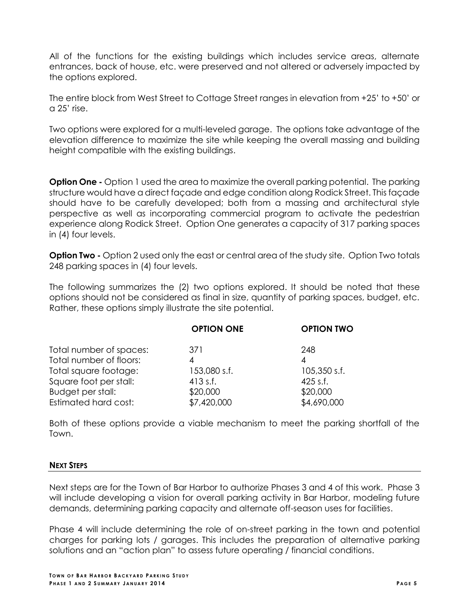All of the functions for the existing buildings which includes service areas, alternate entrances, back of house, etc. were preserved and not altered or adversely impacted by the options explored.

The entire block from West Street to Cottage Street ranges in elevation from +25' to +50' or a 25' rise.

Two options were explored for a multi-leveled garage. The options take advantage of the elevation difference to maximize the site while keeping the overall massing and building height compatible with the existing buildings.

**Option One -** Option 1 used the area to maximize the overall parking potential. The parking structure would have a direct façade and edge condition along Rodick Street. This façade should have to be carefully developed; both from a massing and architectural style perspective as well as incorporating commercial program to activate the pedestrian experience along Rodick Street. Option One generates a capacity of 317 parking spaces in (4) four levels.

**Option Two -** Option 2 used only the east or central area of the study site. Option Two totals 248 parking spaces in (4) four levels.

The following summarizes the (2) two options explored. It should be noted that these options should not be considered as final in size, quantity of parking spaces, budget, etc. Rather, these options simply illustrate the site potential.

|                         | <b>OPTION ONE</b> | <b>OPTION TWO</b> |
|-------------------------|-------------------|-------------------|
| Total number of spaces: | 371               | 248               |
| Total number of floors: | 4                 | 4                 |
| Total square footage:   | 153,080 s.f.      | $105,350$ s.f.    |
| Square foot per stall:  | $413$ s.f.        | $425$ s.f.        |
| Budget per stall:       | \$20,000          | \$20,000          |
| Estimated hard cost:    | \$7,420,000       | \$4,690,000       |

Both of these options provide a viable mechanism to meet the parking shortfall of the Town.

#### **NEXT STEPS**

Next steps are for the Town of Bar Harbor to authorize Phases 3 and 4 of this work. Phase 3 will include developing a vision for overall parking activity in Bar Harbor, modeling future demands, determining parking capacity and alternate off-season uses for facilities.

Phase 4 will include determining the role of on-street parking in the town and potential charges for parking lots / garages. This includes the preparation of alternative parking solutions and an "action plan" to assess future operating / financial conditions.